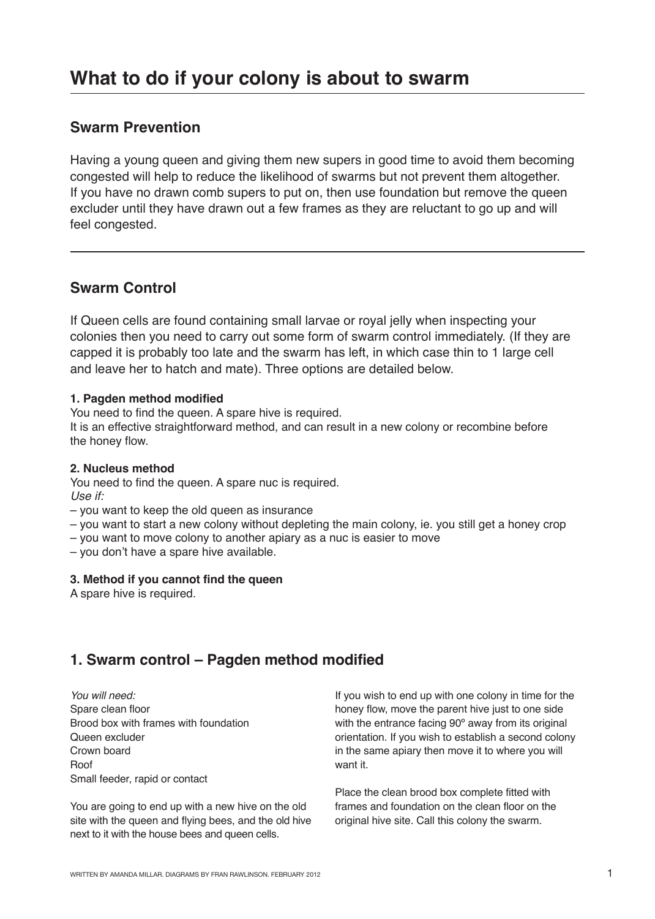# **Swarm Prevention**

Having a young queen and giving them new supers in good time to avoid them becoming congested will help to reduce the likelihood of swarms but not prevent them altogether. If you have no drawn comb supers to put on, then use foundation but remove the queen excluder until they have drawn out a few frames as they are reluctant to go up and will feel congested.

# **Swarm Control**

If Queen cells are found containing small larvae or royal jelly when inspecting your colonies then you need to carry out some form of swarm control immediately. (If they are capped it is probably too late and the swarm has left, in which case thin to 1 large cell and leave her to hatch and mate). Three options are detailed below.

#### **1. Pagden method modified**

You need to find the queen. A spare hive is required.

It is an effective straightforward method, and can result in a new colony or recombine before the honey flow.

#### **2. Nucleus method**

You need to find the queen. A spare nuc is required. Use if:

- you want to keep the old queen as insurance
- you want to start a new colony without depleting the main colony, ie. you still get a honey crop
- you want to move colony to another apiary as a nuc is easier to move
- you don't have a spare hive available.

#### **3. Method if you cannot find the queen**

A spare hive is required.

# **1. Swarm control – Pagden method modified**

You will need: Spare clean floor Brood box with frames with foundation Queen excluder Crown board Roof Small feeder, rapid or contact

You are going to end up with a new hive on the old site with the queen and flying bees, and the old hive next to it with the house bees and queen cells.

If you wish to end up with one colony in time for the honey flow, move the parent hive just to one side with the entrance facing 90° away from its original orientation. If you wish to establish a second colony in the same apiary then move it to where you will want it.

Place the clean brood box complete fitted with frames and foundation on the clean floor on the original hive site. Call this colony the swarm.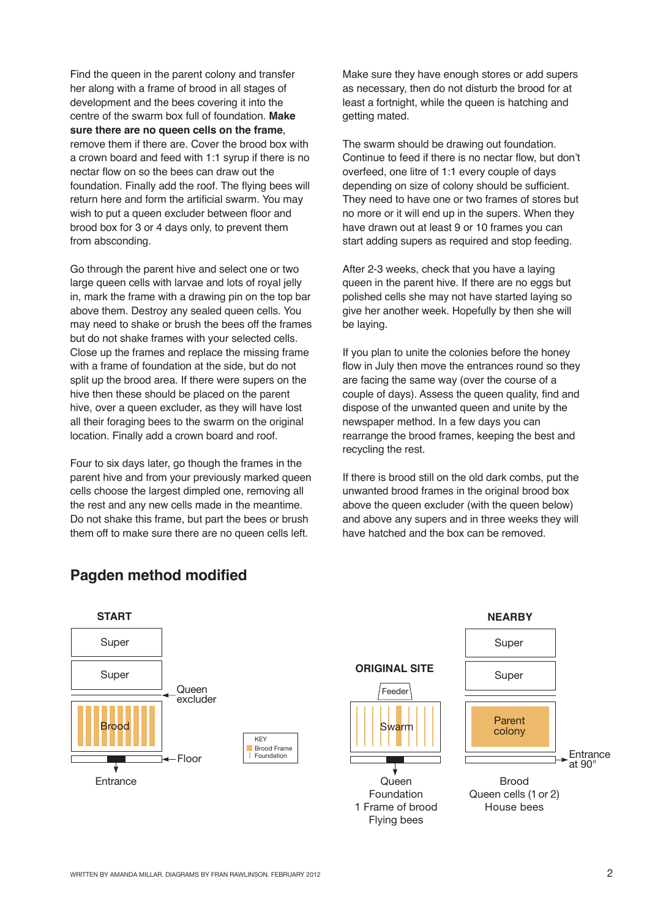Find the queen in the parent colony and transfer her along with a frame of brood in all stages of development and the bees covering it into the centre of the swarm box full of foundation. **Make sure there are no queen cells on the frame**, remove them if there are. Cover the brood box with a crown board and feed with 1:1 syrup if there is no nectar flow on so the bees can draw out the foundation. Finally add the roof. The flying bees will return here and form the artificial swarm. You may wish to put a queen excluder between floor and brood box for 3 or 4 days only, to prevent them from absconding.

Go through the parent hive and select one or two large queen cells with larvae and lots of royal jelly in, mark the frame with a drawing pin on the top bar above them. Destroy any sealed queen cells. You may need to shake or brush the bees off the frames but do not shake frames with your selected cells. Close up the frames and replace the missing frame with a frame of foundation at the side, but do not split up the brood area. If there were supers on the hive then these should be placed on the parent hive, over a queen excluder, as they will have lost all their foraging bees to the swarm on the original location. Finally add a crown board and roof.

Four to six days later, go though the frames in the parent hive and from your previously marked queen cells choose the largest dimpled one, removing all the rest and any new cells made in the meantime. Do not shake this frame, but part the bees or brush them off to make sure there are no queen cells left.

Make sure they have enough stores or add supers as necessary, then do not disturb the brood for at least a fortnight, while the queen is hatching and getting mated.

The swarm should be drawing out foundation. Continue to feed if there is no nectar flow, but don't overfeed, one litre of 1:1 every couple of days depending on size of colony should be sufficient. They need to have one or two frames of stores but no more or it will end up in the supers. When they have drawn out at least 9 or 10 frames you can start adding supers as required and stop feeding.

After 2-3 weeks, check that you have a laying queen in the parent hive. If there are no eggs but polished cells she may not have started laying so give her another week. Hopefully by then she will be laying.

If you plan to unite the colonies before the honey flow in July then move the entrances round so they are facing the same way (over the course of a couple of days). Assess the queen quality, find and dispose of the unwanted queen and unite by the newspaper method. In a few days you can rearrange the brood frames, keeping the best and recycling the rest.

If there is brood still on the old dark combs, put the unwanted brood frames in the original brood box above the queen excluder (with the queen below) and above any supers and in three weeks they will have hatched and the box can be removed.



#### **PAGDEN METHOD MODIFIED Pagden method modified**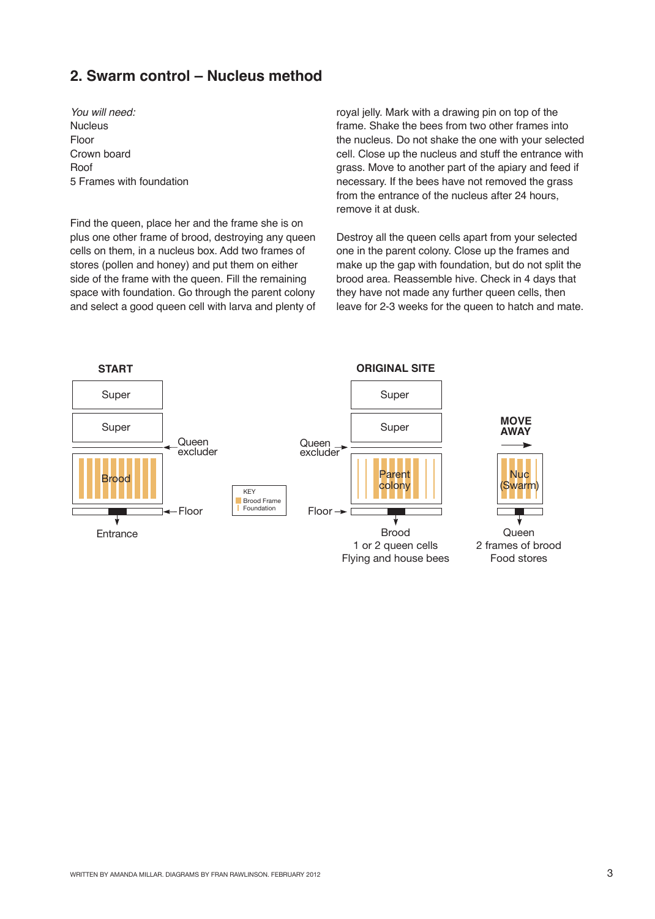## **2. Swarm control – Nucleus method**

You will need: **Nucleus** Floor Crown board Roof 5 Frames with foundation

Find the queen, place her and the frame she is on plus one other frame of brood, destroying any queen cells on them, in a nucleus box. Add two frames of stores (pollen and honey) and put them on either side of the frame with the queen. Fill the remaining space with foundation. Go through the parent colony and select a good queen cell with larva and plenty of royal jelly. Mark with a drawing pin on top of the frame. Shake the bees from two other frames into the nucleus. Do not shake the one with your selected cell. Close up the nucleus and stuff the entrance with grass. Move to another part of the apiary and feed if necessary. If the bees have not removed the grass from the entrance of the nucleus after 24 hours, remove it at dusk.

Destroy all the queen cells apart from your selected one in the parent colony. Close up the frames and make up the gap with foundation, but do not split the brood area. Reassemble hive. Check in 4 days that they have not made any further queen cells, then leave for 2-3 weeks for the queen to hatch and mate.